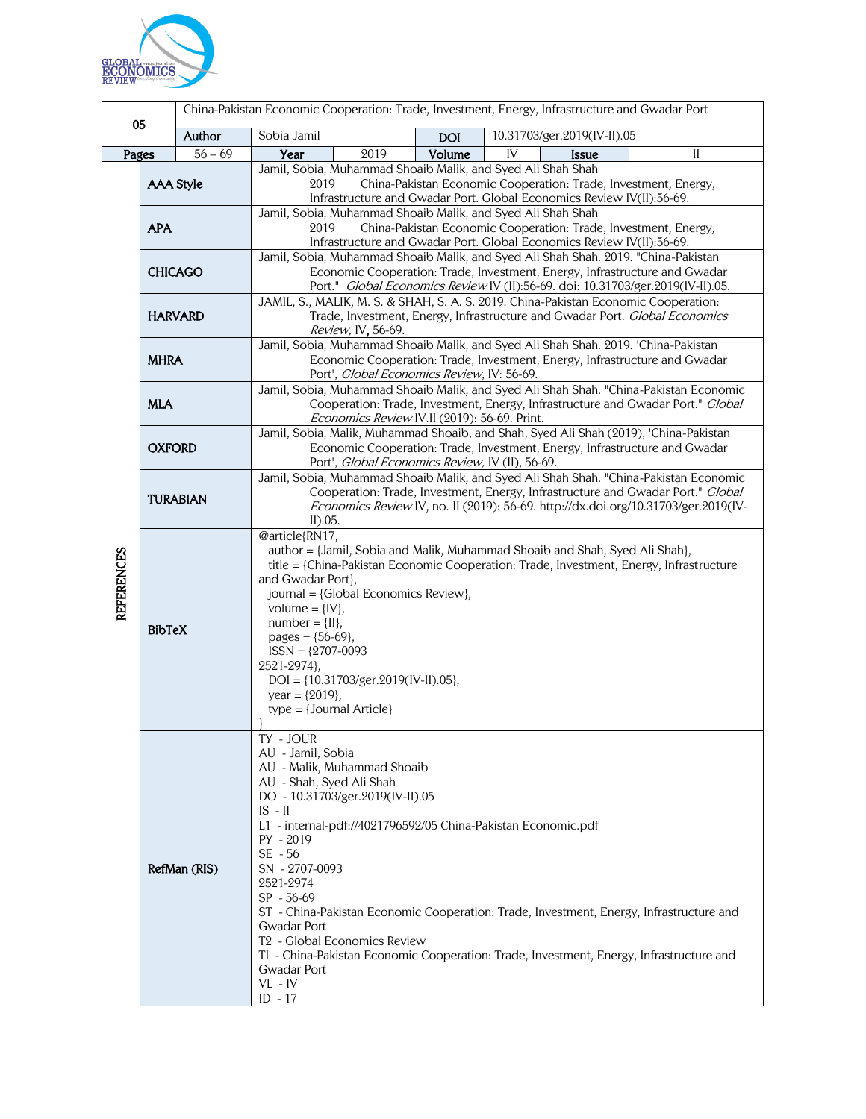

| 05                |                  | China-Pakistan Economic Cooperation: Trade, Investment, Energy, Infrastructure and Gwadar Port |                                                                                                                                                                                                                                                                                                                                                                                                 |                                                                                   |            |                                                                                                                                                                                    |
|-------------------|------------------|------------------------------------------------------------------------------------------------|-------------------------------------------------------------------------------------------------------------------------------------------------------------------------------------------------------------------------------------------------------------------------------------------------------------------------------------------------------------------------------------------------|-----------------------------------------------------------------------------------|------------|------------------------------------------------------------------------------------------------------------------------------------------------------------------------------------|
|                   |                  | Author                                                                                         | Sobia Jamil                                                                                                                                                                                                                                                                                                                                                                                     |                                                                                   | <b>DOI</b> | 10.31703/ger.2019(IV-II).05                                                                                                                                                        |
| Pages             |                  | $56 - 69$                                                                                      | Year                                                                                                                                                                                                                                                                                                                                                                                            | 2019                                                                              | Volume     | IV<br><b>Issue</b><br>П                                                                                                                                                            |
|                   | <b>AAA Style</b> |                                                                                                | Jamil, Sobia, Muhammad Shoaib Malik, and Syed Ali Shah Shah<br>China-Pakistan Economic Cooperation: Trade, Investment, Energy,<br>2019<br>Infrastructure and Gwadar Port. Global Economics Review IV(II):56-69.                                                                                                                                                                                 |                                                                                   |            |                                                                                                                                                                                    |
| <b>REFERENCES</b> | <b>APA</b>       |                                                                                                | Jamil, Sobia, Muhammad Shoaib Malik, and Syed Ali Shah Shah<br>2019<br>China-Pakistan Economic Cooperation: Trade, Investment, Energy,<br>Infrastructure and Gwadar Port. Global Economics Review IV(II):56-69.                                                                                                                                                                                 |                                                                                   |            |                                                                                                                                                                                    |
|                   | <b>CHICAGO</b>   |                                                                                                | Jamil, Sobia, Muhammad Shoaib Malik, and Syed Ali Shah Shah. 2019. "China-Pakistan<br>Economic Cooperation: Trade, Investment, Energy, Infrastructure and Gwadar<br>Port." Global Economics Review IV (II):56-69. doi: 10.31703/ger.2019(IV-II).05.                                                                                                                                             |                                                                                   |            |                                                                                                                                                                                    |
|                   | <b>HARVARD</b>   |                                                                                                | JAMIL, S., MALIK, M. S. & SHAH, S. A. S. 2019. China-Pakistan Economic Cooperation:<br>Trade, Investment, Energy, Infrastructure and Gwadar Port. Global Economics<br>Review, IV, 56-69.                                                                                                                                                                                                        |                                                                                   |            |                                                                                                                                                                                    |
|                   | <b>MHRA</b>      |                                                                                                | Jamil, Sobia, Muhammad Shoaib Malik, and Syed Ali Shah Shah. 2019. 'China-Pakistan<br>Economic Cooperation: Trade, Investment, Energy, Infrastructure and Gwadar<br>Port', Global Economics Review, IV: 56-69.                                                                                                                                                                                  |                                                                                   |            |                                                                                                                                                                                    |
|                   | <b>MLA</b>       |                                                                                                | Jamil, Sobia, Muhammad Shoaib Malik, and Syed Ali Shah Shah. "China-Pakistan Economic<br>Cooperation: Trade, Investment, Energy, Infrastructure and Gwadar Port." Global<br>Economics Review IV.II (2019): 56-69. Print.                                                                                                                                                                        |                                                                                   |            |                                                                                                                                                                                    |
|                   | <b>OXFORD</b>    |                                                                                                | Jamil, Sobia, Malik, Muhammad Shoaib, and Shah, Syed Ali Shah (2019), 'China-Pakistan<br>Economic Cooperation: Trade, Investment, Energy, Infrastructure and Gwadar<br>Port', Global Economics Review, IV (II), 56-69.                                                                                                                                                                          |                                                                                   |            |                                                                                                                                                                                    |
|                   | <b>TURABIAN</b>  |                                                                                                | Jamil, Sobia, Muhammad Shoaib Malik, and Syed Ali Shah Shah. "China-Pakistan Economic<br>Cooperation: Trade, Investment, Energy, Infrastructure and Gwadar Port." Global<br>Economics Review IV, no. II (2019): 56-69. http://dx.doi.org/10.31703/ger.2019(IV-<br>$II$ ).05.                                                                                                                    |                                                                                   |            |                                                                                                                                                                                    |
|                   | <b>BibTeX</b>    |                                                                                                | @article{RN17,<br>and Gwadar Port},<br>volume = $\{IV\}$ ,<br>$number = \{II\},$<br>pages = ${56-69}$ ,<br>$ISSN = {2707-0093}$<br>2521-2974},<br>year = $\{2019\}$ ,<br>$type = {Journal Article}$                                                                                                                                                                                             | journal = {Global Economics Review},<br>$DOI = \{10.31703/ger.2019(IV-II).05\},\$ |            | author = {Jamil, Sobia and Malik, Muhammad Shoaib and Shah, Syed Ali Shah},<br>title = {China-Pakistan Economic Cooperation: Trade, Investment, Energy, Infrastructure             |
|                   |                  | RefMan (RIS)                                                                                   | TY - JOUR<br>AU - Jamil, Sobia<br>AU - Malik, Muhammad Shoaib<br>AU - Shah, Syed Ali Shah<br>DO - 10.31703/ger.2019(IV-II).05<br>$IS - II$<br>L1 - internal-pdf://4021796592/05 China-Pakistan Economic.pdf<br>PY - 2019<br>SE - 56<br>SN - 2707-0093<br>2521-2974<br>$SP - 56-69$<br><b>Gwadar Port</b><br>T <sub>2</sub> - Global Economics Review<br>Gwadar Port<br>$VL$ - $IV$<br>$ID - 17$ |                                                                                   |            | ST - China-Pakistan Economic Cooperation: Trade, Investment, Energy, Infrastructure and<br>TI - China-Pakistan Economic Cooperation: Trade, Investment, Energy, Infrastructure and |